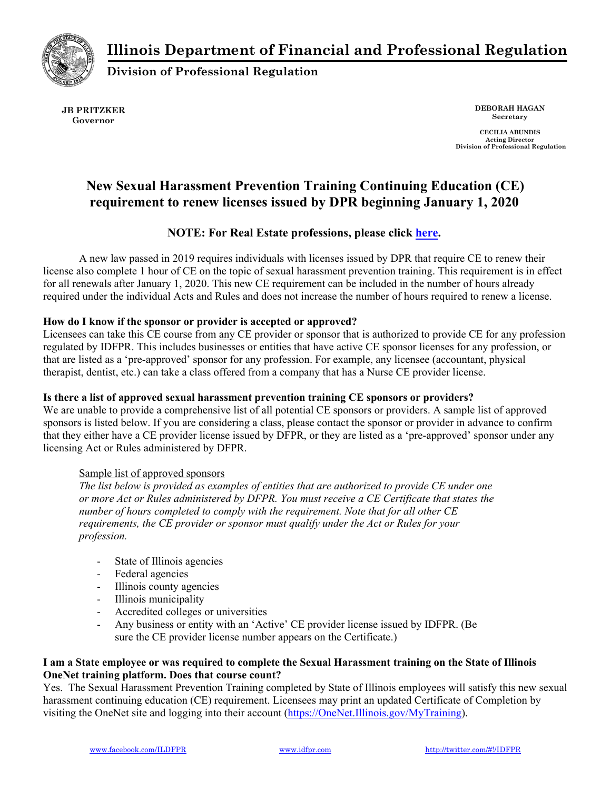**Illinois Department of Financial and Professional Regulation** 



**Division of Professional Regulation** 

**JB PRITZKER Governor** 

**DEBORAH HAGAN Secretary** 

**CECILIA ABUNDIS Acting Director Division of Professional Regulation** 

# **New Sexual Harassment Prevention Training Continuing Education (CE) requirement to renew licenses issued by DPR beginning January 1, 2020**

# **NOTE: For Real Estate professions, please click [here](https://www.idfpr.com/FAQ/RealEstate/DRE%20-%20Sexual%20harassment%20training%20FAQs.pdf?fbclid=IwAR0vuu3YZLa02smfOe_oRvZQyJAKiqhGmv5WCPGT20nONbu9ikFhGC3d9Qw).**

A new law passed in 2019 requires individuals with licenses issued by DPR that require CE to renew their license also complete 1 hour of CE on the topic of sexual harassment prevention training. This requirement is in effect for all renewals after January 1, 2020. This new CE requirement can be included in the number of hours already required under the individual Acts and Rules and does not increase the number of hours required to renew a license.

# **How do I know if the sponsor or provider is accepted or approved?**

Licensees can take this CE course from any CE provider or sponsor that is authorized to provide CE for any profession regulated by IDFPR. This includes businesses or entities that have active CE sponsor licenses for any profession, or that are listed as a 'pre-approved' sponsor for any profession. For example, any licensee (accountant, physical therapist, dentist, etc.) can take a class offered from a company that has a Nurse CE provider license.

# **Is there a list of approved sexual harassment prevention training CE sponsors or providers?**

We are unable to provide a comprehensive list of all potential CE sponsors or providers. A sample list of approved sponsors is listed below. If you are considering a class, please contact the sponsor or provider in advance to confirm that they either have a CE provider license issued by DFPR, or they are listed as a 'pre-approved' sponsor under any licensing Act or Rules administered by DFPR.

### Sample list of approved sponsors

*The list below is provided as examples of entities that are authorized to provide CE under one or more Act or Rules administered by DFPR. You must receive a CE Certificate that states the number of hours completed to comply with the requirement. Note that for all other CE requirements, the CE provider or sponsor must qualify under the Act or Rules for your profession.*

- State of Illinois agencies
- Federal agencies
- Illinois county agencies
- Illinois municipality
- Accredited colleges or universities
- Any business or entity with an 'Active' CE provider license issued by IDFPR. (Be sure the CE provider license number appears on the Certificate.)

### **I am a State employee or was required to complete the Sexual Harassment training on the State of Illinois OneNet training platform. Does that course count?**

Yes. The Sexual Harassment Prevention Training completed by State of Illinois employees will satisfy this new sexual harassment continuing education (CE) requirement. Licensees may print an updated Certificate of Completion by visiting the OneNet site and logging into their account (https://OneNet.Illinois.gov/MyTraining).